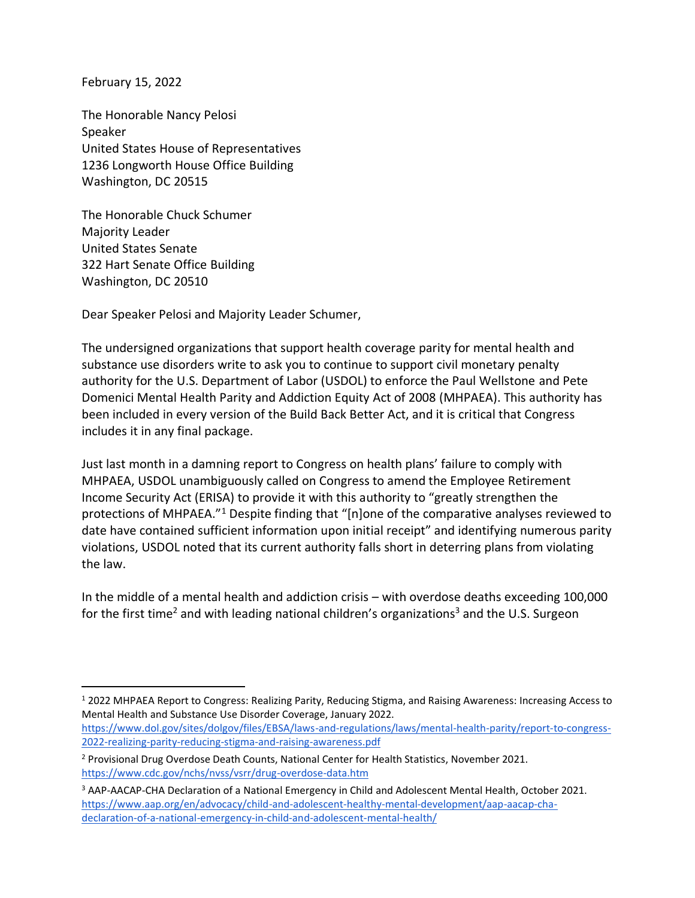February 15, 2022

The Honorable Nancy Pelosi Speaker United States House of Representatives 1236 Longworth House Office Building Washington, DC 20515

The Honorable Chuck Schumer Majority Leader United States Senate 322 Hart Senate Office Building Washington, DC 20510

Dear Speaker Pelosi and Majority Leader Schumer,

The undersigned organizations that support health coverage parity for mental health and substance use disorders write to ask you to continue to support civil monetary penalty authority for the U.S. Department of Labor (USDOL) to enforce the Paul Wellstone and Pete Domenici Mental Health Parity and Addiction Equity Act of 2008 (MHPAEA). This authority has been included in every version of the Build Back Better Act, and it is critical that Congress includes it in any final package.

Just last month in a damning report to Congress on health plans' failure to comply with MHPAEA, USDOL unambiguously called on Congress to amend the Employee Retirement Income Security Act (ERISA) to provide it with this authority to "greatly strengthen the protections of MHPAEA."<sup>1</sup> Despite finding that "[n]one of the comparative analyses reviewed to date have contained sufficient information upon initial receipt" and identifying numerous parity violations, USDOL noted that its current authority falls short in deterring plans from violating the law.

In the middle of a mental health and addiction crisis – with overdose deaths exceeding 100,000 for the first time<sup>2</sup> and with leading national children's organizations<sup>3</sup> and the U.S. Surgeon

<sup>1</sup> 2022 MHPAEA Report to Congress: Realizing Parity, Reducing Stigma, and Raising Awareness: Increasing Access to Mental Health and Substance Use Disorder Coverage, January 2022.

[https://www.dol.gov/sites/dolgov/files/EBSA/laws-and-regulations/laws/mental-health-parity/report-to-congress-](https://www.dol.gov/sites/dolgov/files/EBSA/laws-and-regulations/laws/mental-health-parity/report-to-congress-2022-realizing-parity-reducing-stigma-and-raising-awareness.pdf)[2022-realizing-parity-reducing-stigma-and-raising-awareness.pdf](https://www.dol.gov/sites/dolgov/files/EBSA/laws-and-regulations/laws/mental-health-parity/report-to-congress-2022-realizing-parity-reducing-stigma-and-raising-awareness.pdf)

<sup>&</sup>lt;sup>2</sup> Provisional Drug Overdose Death Counts, National Center for Health Statistics, November 2021. <https://www.cdc.gov/nchs/nvss/vsrr/drug-overdose-data.htm>

<sup>3</sup> AAP-AACAP-CHA Declaration of a National Emergency in Child and Adolescent Mental Health, October 2021. [https://www.aap.org/en/advocacy/child-and-adolescent-healthy-mental-development/aap-aacap-cha](https://www.aap.org/en/advocacy/child-and-adolescent-healthy-mental-development/aap-aacap-cha-declaration-of-a-national-emergency-in-child-and-adolescent-mental-health/)[declaration-of-a-national-emergency-in-child-and-adolescent-mental-health/](https://www.aap.org/en/advocacy/child-and-adolescent-healthy-mental-development/aap-aacap-cha-declaration-of-a-national-emergency-in-child-and-adolescent-mental-health/)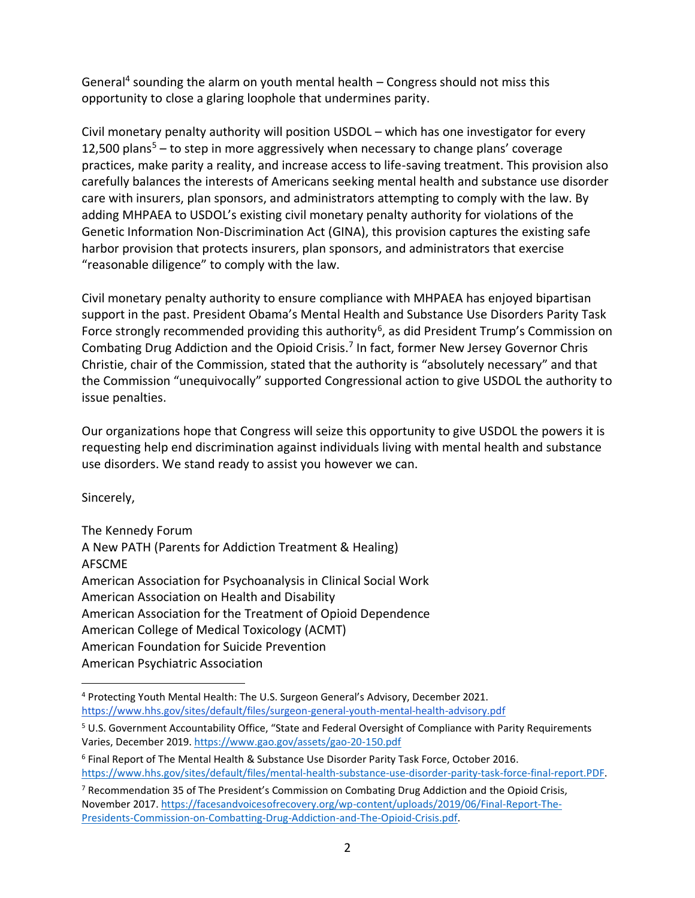General<sup>4</sup> sounding the alarm on youth mental health - Congress should not miss this opportunity to close a glaring loophole that undermines parity.

Civil monetary penalty authority will position USDOL – which has one investigator for every 12,500 plans<sup>5</sup> – to step in more aggressively when necessary to change plans' coverage practices, make parity a reality, and increase access to life-saving treatment. This provision also carefully balances the interests of Americans seeking mental health and substance use disorder care with insurers, plan sponsors, and administrators attempting to comply with the law. By adding MHPAEA to USDOL's existing civil monetary penalty authority for violations of the Genetic Information Non-Discrimination Act (GINA), this provision captures the existing safe harbor provision that protects insurers, plan sponsors, and administrators that exercise "reasonable diligence" to comply with the law.

Civil monetary penalty authority to ensure compliance with MHPAEA has enjoyed bipartisan support in the past. President Obama's Mental Health and Substance Use Disorders Parity Task Force strongly recommended providing this authority<sup>6</sup>, as did President Trump's Commission on Combating Drug Addiction and the Opioid Crisis.<sup>7</sup> In fact, former New Jersey Governor Chris Christie, chair of the Commission, stated that the authority is "absolutely necessary" and that the Commission "unequivocally" supported Congressional action to give USDOL the authority to issue penalties.

Our organizations hope that Congress will seize this opportunity to give USDOL the powers it is requesting help end discrimination against individuals living with mental health and substance use disorders. We stand ready to assist you however we can.

Sincerely,

The Kennedy Forum A New PATH (Parents for Addiction Treatment & Healing) AFSCME American Association for Psychoanalysis in Clinical Social Work American Association on Health and Disability American Association for the Treatment of Opioid Dependence American College of Medical Toxicology (ACMT) American Foundation for Suicide Prevention American Psychiatric Association

<sup>4</sup> Protecting Youth Mental Health: The U.S. Surgeon General's Advisory, December 2021. <https://www.hhs.gov/sites/default/files/surgeon-general-youth-mental-health-advisory.pdf>

<sup>5</sup> U.S. Government Accountability Office, "State and Federal Oversight of Compliance with Parity Requirements Varies, December 2019. <https://www.gao.gov/assets/gao-20-150.pdf>

<sup>6</sup> Final Report of The Mental Health & Substance Use Disorder Parity Task Force, October 2016. [https://www.hhs.gov/sites/default/files/mental-health-substance-use-disorder-parity-task-force-final-report.PDF.](https://www.hhs.gov/sites/default/files/mental-health-substance-use-disorder-parity-task-force-final-report.PDF)

<sup>7</sup> Recommendation 35 of The President's Commission on Combating Drug Addiction and the Opioid Crisis, November 2017. [https://facesandvoicesofrecovery.org/wp-content/uploads/2019/06/Final-Report-The-](https://facesandvoicesofrecovery.org/wp-content/uploads/2019/06/Final-Report-The-Presidents-Commission-on-Combatting-Drug-Addiction-and-The-Opioid-Crisis.pdf)[Presidents-Commission-on-Combatting-Drug-Addiction-and-The-Opioid-Crisis.pdf.](https://facesandvoicesofrecovery.org/wp-content/uploads/2019/06/Final-Report-The-Presidents-Commission-on-Combatting-Drug-Addiction-and-The-Opioid-Crisis.pdf)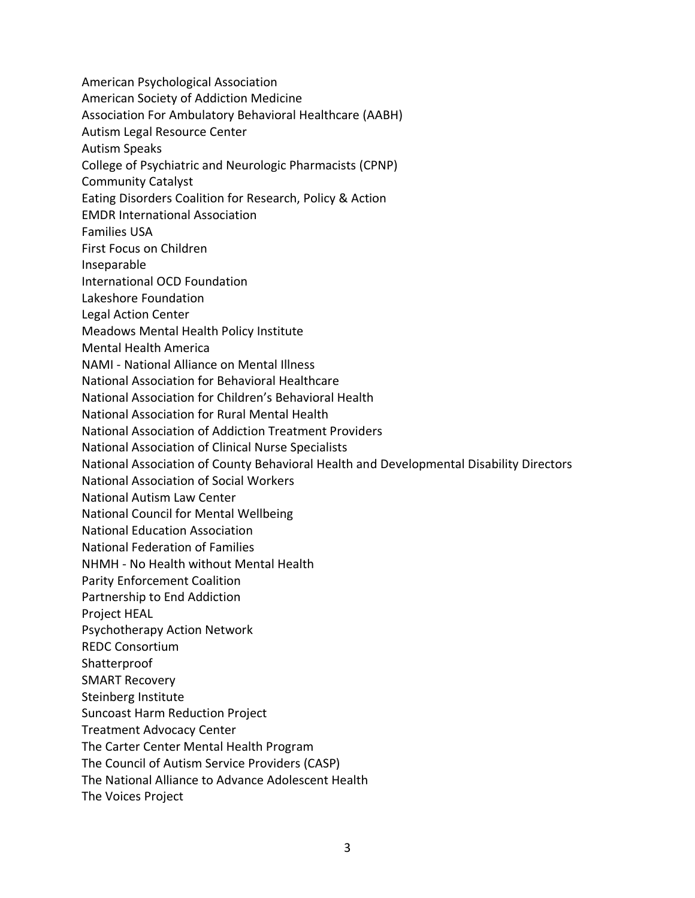American Psychological Association American Society of Addiction Medicine Association For Ambulatory Behavioral Healthcare (AABH) Autism Legal Resource Center Autism Speaks College of Psychiatric and Neurologic Pharmacists (CPNP) Community Catalyst Eating Disorders Coalition for Research, Policy & Action EMDR International Association Families USA First Focus on Children Inseparable International OCD Foundation Lakeshore Foundation Legal Action Center Meadows Mental Health Policy Institute Mental Health America NAMI - National Alliance on Mental Illness National Association for Behavioral Healthcare National Association for Children's Behavioral Health National Association for Rural Mental Health National Association of Addiction Treatment Providers National Association of Clinical Nurse Specialists National Association of County Behavioral Health and Developmental Disability Directors National Association of Social Workers National Autism Law Center National Council for Mental Wellbeing National Education Association National Federation of Families NHMH - No Health without Mental Health Parity Enforcement Coalition Partnership to End Addiction Project HEAL Psychotherapy Action Network REDC Consortium Shatterproof SMART Recovery Steinberg Institute Suncoast Harm Reduction Project Treatment Advocacy Center The Carter Center Mental Health Program The Council of Autism Service Providers (CASP) The National Alliance to Advance Adolescent Health The Voices Project